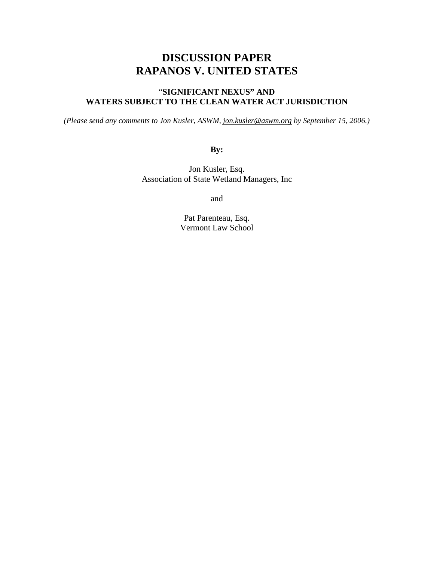# **DISCUSSION PAPER RAPANOS V. UNITED STATES**

# "**SIGNIFICANT NEXUS" AND WATERS SUBJECT TO THE CLEAN WATER ACT JURISDICTION**

*(Please send any comments to Jon Kusler, ASWM, [jon.kusler@aswm.org](mailto:jon.kusler@aswm.org) by September 15, 2006.)* 

**By:** 

Jon Kusler, Esq. Association of State Wetland Managers, Inc

and

Pat Parenteau, Esq. Vermont Law School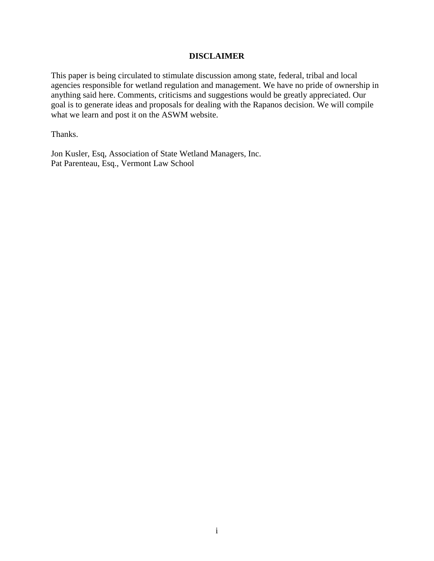#### **DISCLAIMER**

This paper is being circulated to stimulate discussion among state, federal, tribal and local agencies responsible for wetland regulation and management. We have no pride of ownership in anything said here. Comments, criticisms and suggestions would be greatly appreciated. Our goal is to generate ideas and proposals for dealing with the Rapanos decision. We will compile what we learn and post it on the ASWM website.

Thanks.

Jon Kusler, Esq, Association of State Wetland Managers, Inc. Pat Parenteau, Esq., Vermont Law School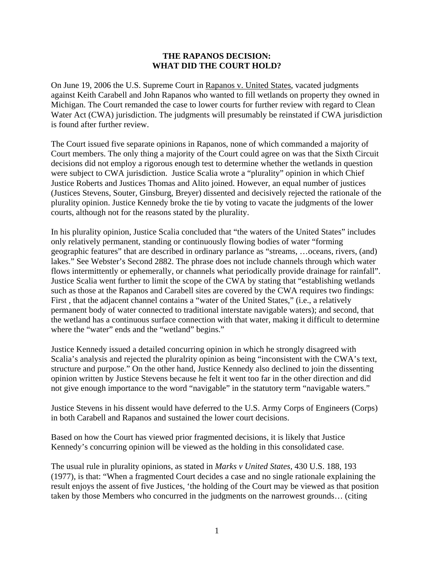#### **THE RAPANOS DECISION: WHAT DID THE COURT HOLD?**

On June 19, 2006 the U.S. Supreme Court in Rapanos v. United States, vacated judgments against Keith Carabell and John Rapanos who wanted to fill wetlands on property they owned in Michigan. The Court remanded the case to lower courts for further review with regard to Clean Water Act (CWA) jurisdiction. The judgments will presumably be reinstated if CWA jurisdiction is found after further review.

The Court issued five separate opinions in Rapanos, none of which commanded a majority of Court members. The only thing a majority of the Court could agree on was that the Sixth Circuit decisions did not employ a rigorous enough test to determine whether the wetlands in question were subject to CWA jurisdiction. Justice Scalia wrote a "plurality" opinion in which Chief Justice Roberts and Justices Thomas and Alito joined. However, an equal number of justices (Justices Stevens, Souter, Ginsburg, Breyer) dissented and decisively rejected the rationale of the plurality opinion. Justice Kennedy broke the tie by voting to vacate the judgments of the lower courts, although not for the reasons stated by the plurality.

In his plurality opinion, Justice Scalia concluded that "the waters of the United States" includes only relatively permanent, standing or continuously flowing bodies of water "forming geographic features" that are described in ordinary parlance as "streams, …oceans, rivers, (and) lakes." See Webster's Second 2882. The phrase does not include channels through which water flows intermittently or ephemerally, or channels what periodically provide drainage for rainfall". Justice Scalia went further to limit the scope of the CWA by stating that "establishing wetlands such as those at the Rapanos and Carabell sites are covered by the CWA requires two findings: First , that the adjacent channel contains a "water of the United States," (i.e., a relatively permanent body of water connected to traditional interstate navigable waters); and second, that the wetland has a continuous surface connection with that water, making it difficult to determine where the "water" ends and the "wetland" begins."

Justice Kennedy issued a detailed concurring opinion in which he strongly disagreed with Scalia's analysis and rejected the pluralrity opinion as being "inconsistent with the CWA's text, structure and purpose." On the other hand, Justice Kennedy also declined to join the dissenting opinion written by Justice Stevens because he felt it went too far in the other direction and did not give enough importance to the word "navigable" in the statutory term "navigable waters."

Justice Stevens in his dissent would have deferred to the U.S. Army Corps of Engineers (Corps) in both Carabell and Rapanos and sustained the lower court decisions.

Based on how the Court has viewed prior fragmented decisions, it is likely that Justice Kennedy's concurring opinion will be viewed as the holding in this consolidated case.

The usual rule in plurality opinions, as stated in *Marks v United States*, 430 U.S. 188, 193 (1977), is that: "When a fragmented Court decides a case and no single rationale explaining the result enjoys the assent of five Justices, 'the holding of the Court may be viewed as that position taken by those Members who concurred in the judgments on the narrowest grounds… (citing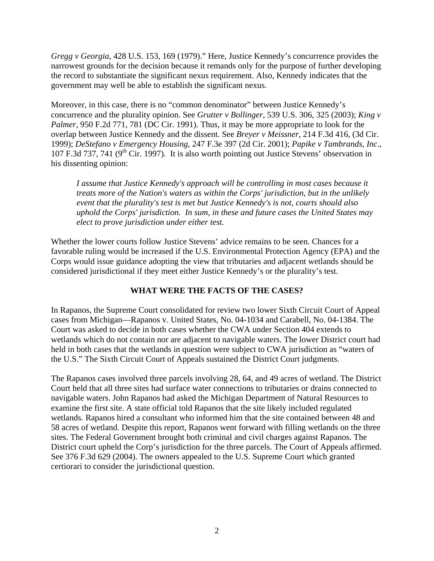*Gregg v Georgia*, 428 U.S. 153, 169 (1979)." Here, Justice Kennedy's concurrence provides the narrowest grounds for the decision because it remands only for the purpose of further developing the record to substantiate the significant nexus requirement. Also, Kennedy indicates that the government may well be able to establish the significant nexus.

Moreover, in this case, there is no "common denominator" between Justice Kennedy's concurrence and the plurality opinion. See *Grutter v Bollinger*, 539 U.S. 306, 325 (2003); *King v Palmer*, 950 F.2d 771, 781 (DC Cir. 1991). Thus, it may be more appropriate to look for the overlap between Justice Kennedy and the dissent. See *Breyer v Meissner*, 214 F.3d 416, (3d Cir. 1999); *DeStefano v Emergency Housing*, 247 F.3e 397 (2d Cir. 2001); *Papike v Tambrands, Inc*., 107 F.3d 737, 741 ( $9<sup>th</sup>$  Cir. 1997). It is also worth pointing out Justice Stevens' observation in his dissenting opinion:

*I assume that Justice Kennedy's approach will be controlling in most cases because it treats more of the Nation's waters as within the Corps' jurisdiction, but in the unlikely event that the plurality's test is met but Justice Kennedy's is not, courts should also uphold the Corps' jurisdiction. In sum, in these and future cases the United States may elect to prove jurisdiction under either test.* 

Whether the lower courts follow Justice Stevens' advice remains to be seen. Chances for a favorable ruling would be increased if the U.S. Environmental Protection Agency (EPA) and the Corps would issue guidance adopting the view that tributaries and adjacent wetlands should be considered jurisdictional if they meet either Justice Kennedy's or the plurality's test.

## **WHAT WERE THE FACTS OF THE CASES?**

In Rapanos, the Supreme Court consolidated for review two lower Sixth Circuit Court of Appeal cases from Michigan—Rapanos v. United States, No. 04-1034 and Carabell, No. 04-1384. The Court was asked to decide in both cases whether the CWA under Section 404 extends to wetlands which do not contain nor are adjacent to navigable waters. The lower District court had held in both cases that the wetlands in question were subject to CWA jurisdiction as "waters of the U.S." The Sixth Circuit Court of Appeals sustained the District Court judgments.

The Rapanos cases involved three parcels involving 28, 64, and 49 acres of wetland. The District Court held that all three sites had surface water connections to tributaries or drains connected to navigable waters. John Rapanos had asked the Michigan Department of Natural Resources to examine the first site. A state official told Rapanos that the site likely included regulated wetlands. Rapanos hired a consultant who informed him that the site contained between 48 and 58 acres of wetland. Despite this report, Rapanos went forward with filling wetlands on the three sites. The Federal Government brought both criminal and civil charges against Rapanos. The District court upheld the Corp's jurisdiction for the three parcels. The Court of Appeals affirmed. See 376 F.3d 629 (2004). The owners appealed to the U.S. Supreme Court which granted certiorari to consider the jurisdictional question.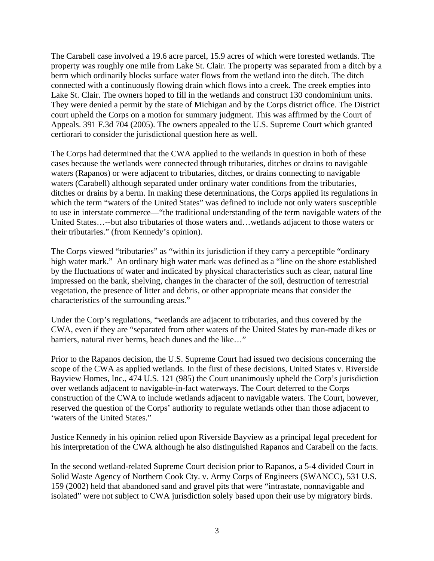The Carabell case involved a 19.6 acre parcel, 15.9 acres of which were forested wetlands. The property was roughly one mile from Lake St. Clair. The property was separated from a ditch by a berm which ordinarily blocks surface water flows from the wetland into the ditch. The ditch connected with a continuously flowing drain which flows into a creek. The creek empties into Lake St. Clair. The owners hoped to fill in the wetlands and construct 130 condominium units. They were denied a permit by the state of Michigan and by the Corps district office. The District court upheld the Corps on a motion for summary judgment. This was affirmed by the Court of Appeals. 391 F.3d 704 (2005). The owners appealed to the U.S. Supreme Court which granted certiorari to consider the jurisdictional question here as well.

The Corps had determined that the CWA applied to the wetlands in question in both of these cases because the wetlands were connected through tributaries, ditches or drains to navigable waters (Rapanos) or were adjacent to tributaries, ditches, or drains connecting to navigable waters (Carabell) although separated under ordinary water conditions from the tributaries, ditches or drains by a berm. In making these determinations, the Corps applied its regulations in which the term "waters of the United States" was defined to include not only waters susceptible to use in interstate commerce—"the traditional understanding of the term navigable waters of the United States…--but also tributaries of those waters and…wetlands adjacent to those waters or their tributaries." (from Kennedy's opinion).

The Corps viewed "tributaries" as "within its jurisdiction if they carry a perceptible "ordinary high water mark." An ordinary high water mark was defined as a "line on the shore established by the fluctuations of water and indicated by physical characteristics such as clear, natural line impressed on the bank, shelving, changes in the character of the soil, destruction of terrestrial vegetation, the presence of litter and debris, or other appropriate means that consider the characteristics of the surrounding areas."

Under the Corp's regulations, "wetlands are adjacent to tributaries, and thus covered by the CWA, even if they are "separated from other waters of the United States by man-made dikes or barriers, natural river berms, beach dunes and the like…"

Prior to the Rapanos decision, the U.S. Supreme Court had issued two decisions concerning the scope of the CWA as applied wetlands. In the first of these decisions, United States v. Riverside Bayview Homes, Inc., 474 U.S. 121 (985) the Court unanimously upheld the Corp's jurisdiction over wetlands adjacent to navigable-in-fact waterways. The Court deferred to the Corps construction of the CWA to include wetlands adjacent to navigable waters. The Court, however, reserved the question of the Corps' authority to regulate wetlands other than those adjacent to 'waters of the United States."

Justice Kennedy in his opinion relied upon Riverside Bayview as a principal legal precedent for his interpretation of the CWA although he also distinguished Rapanos and Carabell on the facts.

In the second wetland-related Supreme Court decision prior to Rapanos, a 5-4 divided Court in Solid Waste Agency of Northern Cook Cty. v. Army Corps of Engineers (SWANCC), 531 U.S. 159 (2002) held that abandoned sand and gravel pits that were "intrastate, nonnavigable and isolated" were not subject to CWA jurisdiction solely based upon their use by migratory birds.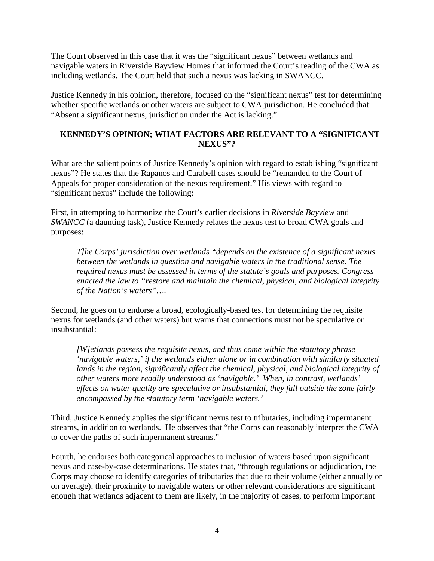The Court observed in this case that it was the "significant nexus" between wetlands and navigable waters in Riverside Bayview Homes that informed the Court's reading of the CWA as including wetlands. The Court held that such a nexus was lacking in SWANCC.

Justice Kennedy in his opinion, therefore, focused on the "significant nexus" test for determining whether specific wetlands or other waters are subject to CWA jurisdiction. He concluded that: "Absent a significant nexus, jurisdiction under the Act is lacking."

## **KENNEDY'S OPINION; WHAT FACTORS ARE RELEVANT TO A "SIGNIFICANT NEXUS"?**

What are the salient points of Justice Kennedy's opinion with regard to establishing "significant nexus"? He states that the Rapanos and Carabell cases should be "remanded to the Court of Appeals for proper consideration of the nexus requirement." His views with regard to "significant nexus" include the following:

First, in attempting to harmonize the Court's earlier decisions in *Riverside Bayview* and *SWANCC* (a daunting task), Justice Kennedy relates the nexus test to broad CWA goals and purposes:

*T]he Corps' jurisdiction over wetlands "depends on the existence of a significant nexus between the wetlands in question and navigable waters in the traditional sense. The required nexus must be assessed in terms of the statute's goals and purposes. Congress enacted the law to "restore and maintain the chemical, physical, and biological integrity of the Nation's waters"….* 

Second, he goes on to endorse a broad, ecologically-based test for determining the requisite nexus for wetlands (and other waters) but warns that connections must not be speculative or insubstantial:

*[W]etlands possess the requisite nexus, and thus come within the statutory phrase 'navigable waters,' if the wetlands either alone or in combination with similarly situated*  lands in the region, significantly affect the chemical, physical, and biological integrity of *other waters more readily understood as 'navigable.' When, in contrast, wetlands' effects on water quality are speculative or insubstantial, they fall outside the zone fairly encompassed by the statutory term 'navigable waters.'* 

Third, Justice Kennedy applies the significant nexus test to tributaries, including impermanent streams, in addition to wetlands. He observes that "the Corps can reasonably interpret the CWA to cover the paths of such impermanent streams."

Fourth, he endorses both categorical approaches to inclusion of waters based upon significant nexus and case-by-case determinations. He states that, "through regulations or adjudication, the Corps may choose to identify categories of tributaries that due to their volume (either annually or on average), their proximity to navigable waters or other relevant considerations are significant enough that wetlands adjacent to them are likely, in the majority of cases, to perform important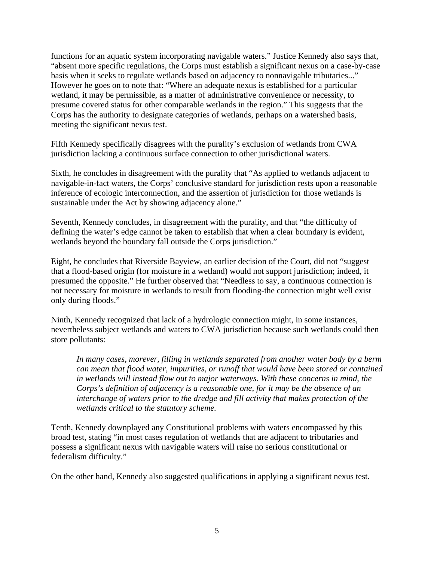functions for an aquatic system incorporating navigable waters." Justice Kennedy also says that, "absent more specific regulations, the Corps must establish a significant nexus on a case-by-case basis when it seeks to regulate wetlands based on adjacency to nonnavigable tributaries..." However he goes on to note that: "Where an adequate nexus is established for a particular wetland, it may be permissible, as a matter of administrative convenience or necessity, to presume covered status for other comparable wetlands in the region." This suggests that the Corps has the authority to designate categories of wetlands, perhaps on a watershed basis, meeting the significant nexus test.

Fifth Kennedy specifically disagrees with the purality's exclusion of wetlands from CWA jurisdiction lacking a continuous surface connection to other jurisdictional waters.

Sixth, he concludes in disagreement with the purality that "As applied to wetlands adjacent to navigable-in-fact waters, the Corps' conclusive standard for jurisdiction rests upon a reasonable inference of ecologic interconnection, and the assertion of jurisdiction for those wetlands is sustainable under the Act by showing adjacency alone."

Seventh, Kennedy concludes, in disagreement with the purality, and that "the difficulty of defining the water's edge cannot be taken to establish that when a clear boundary is evident, wetlands beyond the boundary fall outside the Corps jurisdiction."

Eight, he concludes that Riverside Bayview, an earlier decision of the Court, did not "suggest that a flood-based origin (for moisture in a wetland) would not support jurisdiction; indeed, it presumed the opposite." He further observed that "Needless to say, a continuous connection is not necessary for moisture in wetlands to result from flooding-the connection might well exist only during floods."

Ninth, Kennedy recognized that lack of a hydrologic connection might, in some instances, nevertheless subject wetlands and waters to CWA jurisdiction because such wetlands could then store pollutants:

*In many cases, morever, filling in wetlands separated from another water body by a berm can mean that flood water, impurities, or runoff that would have been stored or contained in wetlands will instead flow out to major waterways. With these concerns in mind, the Corps's definition of adjacency is a reasonable one, for it may be the absence of an interchange of waters prior to the dredge and fill activity that makes protection of the wetlands critical to the statutory scheme.* 

Tenth, Kennedy downplayed any Constitutional problems with waters encompassed by this broad test, stating "in most cases regulation of wetlands that are adjacent to tributaries and possess a significant nexus with navigable waters will raise no serious constitutional or federalism difficulty."

On the other hand, Kennedy also suggested qualifications in applying a significant nexus test.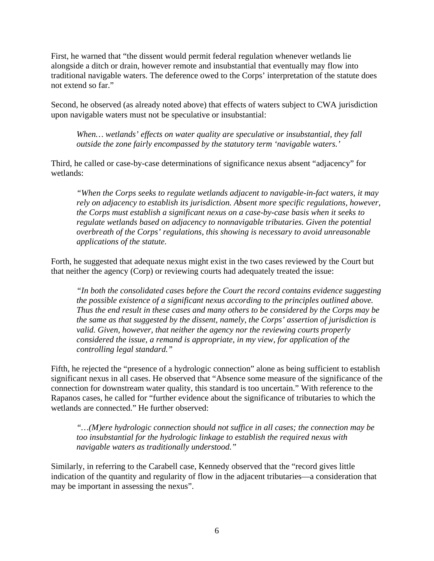First, he warned that "the dissent would permit federal regulation whenever wetlands lie alongside a ditch or drain, however remote and insubstantial that eventually may flow into traditional navigable waters. The deference owed to the Corps' interpretation of the statute does not extend so far."

Second, he observed (as already noted above) that effects of waters subject to CWA jurisdiction upon navigable waters must not be speculative or insubstantial:

*When… wetlands' effects on water quality are speculative or insubstantial, they fall outside the zone fairly encompassed by the statutory term 'navigable waters.'* 

Third, he called or case-by-case determinations of significance nexus absent "adjacency" for wetlands:

*"When the Corps seeks to regulate wetlands adjacent to navigable-in-fact waters, it may rely on adjacency to establish its jurisdiction. Absent more specific regulations, however, the Corps must establish a significant nexus on a case-by-case basis when it seeks to regulate wetlands based on adjacency to nonnavigable tributaries. Given the potential overbreath of the Corps' regulations, this showing is necessary to avoid unreasonable applications of the statute.* 

Forth, he suggested that adequate nexus might exist in the two cases reviewed by the Court but that neither the agency (Corp) or reviewing courts had adequately treated the issue:

*"In both the consolidated cases before the Court the record contains evidence suggesting the possible existence of a significant nexus according to the principles outlined above. Thus the end result in these cases and many others to be considered by the Corps may be the same as that suggested by the dissent, namely, the Corps' assertion of jurisdiction is valid. Given, however, that neither the agency nor the reviewing courts properly considered the issue, a remand is appropriate, in my view, for application of the controlling legal standard."* 

Fifth, he rejected the "presence of a hydrologic connection" alone as being sufficient to establish significant nexus in all cases. He observed that "Absence some measure of the significance of the connection for downstream water quality, this standard is too uncertain." With reference to the Rapanos cases, he called for "further evidence about the significance of tributaries to which the wetlands are connected." He further observed:

*"…(M)ere hydrologic connection should not suffice in all cases; the connection may be too insubstantial for the hydrologic linkage to establish the required nexus with navigable waters as traditionally understood."* 

Similarly, in referring to the Carabell case, Kennedy observed that the "record gives little indication of the quantity and regularity of flow in the adjacent tributaries—a consideration that may be important in assessing the nexus".